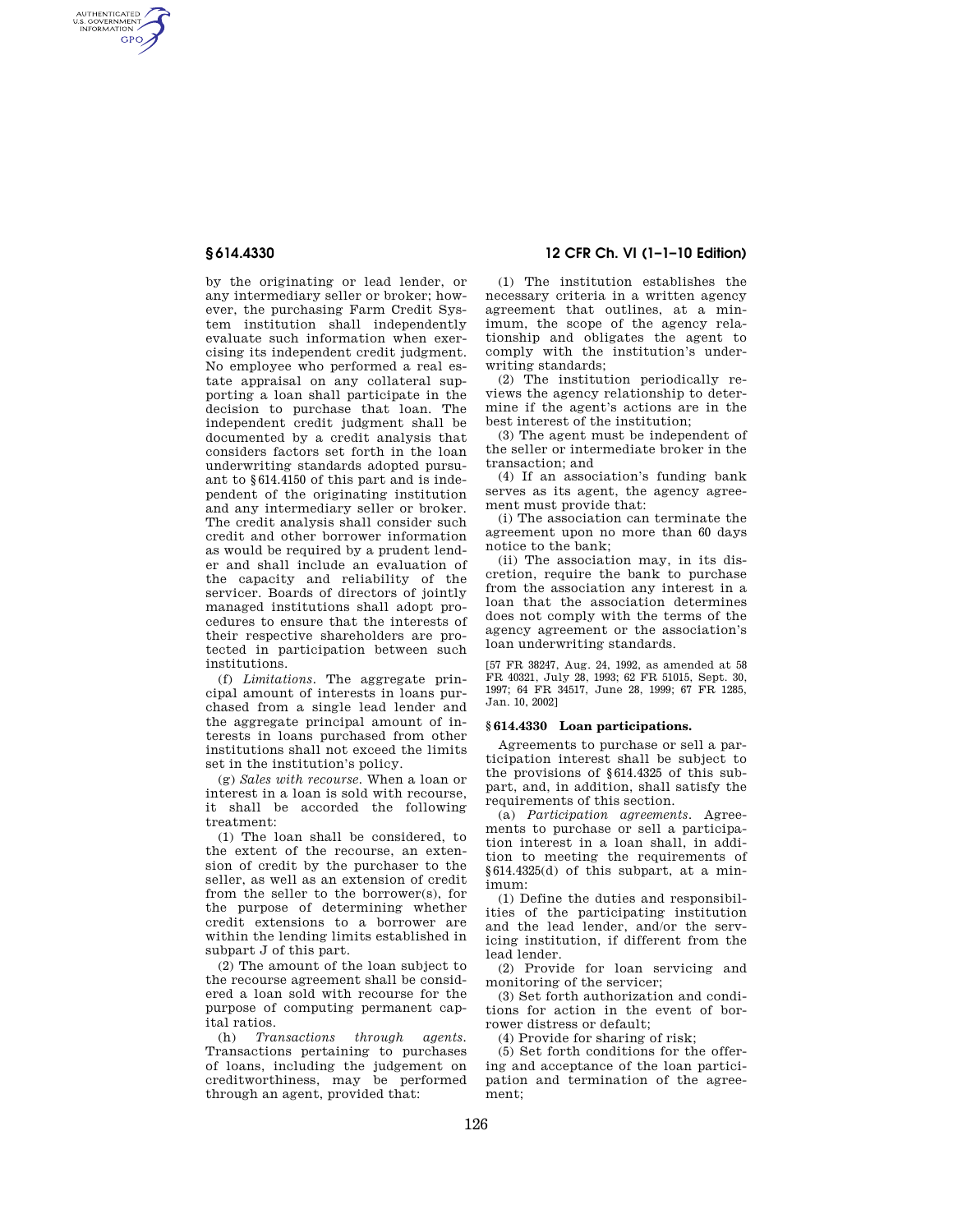AUTHENTICATED<br>U.S. GOVERNMENT<br>INFORMATION **GPO** 

> by the originating or lead lender, or any intermediary seller or broker; however, the purchasing Farm Credit System institution shall independently evaluate such information when exercising its independent credit judgment. No employee who performed a real estate appraisal on any collateral supporting a loan shall participate in the decision to purchase that loan. The independent credit judgment shall be documented by a credit analysis that considers factors set forth in the loan underwriting standards adopted pursuant to §614.4150 of this part and is independent of the originating institution and any intermediary seller or broker. The credit analysis shall consider such credit and other borrower information as would be required by a prudent lender and shall include an evaluation of the capacity and reliability of the servicer. Boards of directors of jointly managed institutions shall adopt procedures to ensure that the interests of their respective shareholders are protected in participation between such institutions.

> (f) *Limitations.* The aggregate principal amount of interests in loans purchased from a single lead lender and the aggregate principal amount of interests in loans purchased from other institutions shall not exceed the limits set in the institution's policy.

> (g) *Sales with recourse.* When a loan or interest in a loan is sold with recourse, it shall be accorded the following treatment:

(1) The loan shall be considered, to the extent of the recourse, an extension of credit by the purchaser to the seller, as well as an extension of credit from the seller to the borrower(s), for the purpose of determining whether credit extensions to a borrower are within the lending limits established in subpart J of this part.

(2) The amount of the loan subject to the recourse agreement shall be considered a loan sold with recourse for the purpose of computing permanent capital ratios.

(h) *Transactions through agents.*  Transactions pertaining to purchases of loans, including the judgement on creditworthiness, may be performed through an agent, provided that:

# **§ 614.4330 12 CFR Ch. VI (1–1–10 Edition)**

(1) The institution establishes the necessary criteria in a written agency agreement that outlines, at a minimum, the scope of the agency relationship and obligates the agent to comply with the institution's underwriting standards;

(2) The institution periodically reviews the agency relationship to determine if the agent's actions are in the best interest of the institution;

(3) The agent must be independent of the seller or intermediate broker in the transaction; and

(4) If an association's funding bank serves as its agent, the agency agreement must provide that:

(i) The association can terminate the agreement upon no more than 60 days notice to the bank;

(ii) The association may, in its discretion, require the bank to purchase from the association any interest in a loan that the association determines does not comply with the terms of the agency agreement or the association's loan underwriting standards.

[57 FR 38247, Aug. 24, 1992, as amended at 58 FR 40321, July 28, 1993; 62 FR 51015, Sept. 30, 1997; 64 FR 34517, June 28, 1999; 67 FR 1285, Jan. 10, 2002]

## **§ 614.4330 Loan participations.**

Agreements to purchase or sell a participation interest shall be subject to the provisions of §614.4325 of this subpart, and, in addition, shall satisfy the requirements of this section.

(a) *Participation agreements.* Agreements to purchase or sell a participation interest in a loan shall, in addition to meeting the requirements of §614.4325(d) of this subpart, at a minimum:

(1) Define the duties and responsibilities of the participating institution and the lead lender, and/or the servicing institution, if different from the lead lender.

(2) Provide for loan servicing and monitoring of the servicer;

(3) Set forth authorization and conditions for action in the event of borrower distress or default;

(4) Provide for sharing of risk;

(5) Set forth conditions for the offering and acceptance of the loan participation and termination of the agreement;